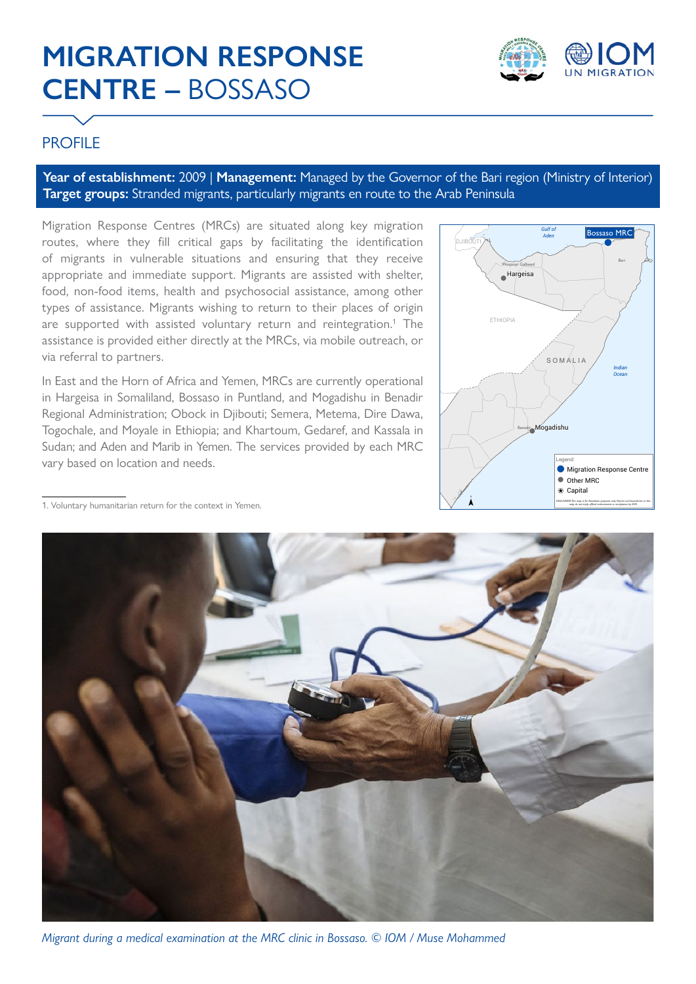# **MIGRATION RESPONSE CENTRE –** BOSSASO



# **PROFILE**

**Year of establishment:** 2009 | **Management:** Managed by the Governor of the Bari region (Ministry of Interior) **Target groups:** Stranded migrants, particularly migrants en route to the Arab Peninsula

Migration Response Centres (MRCs) are situated along key migration routes, where they fill critical gaps by facilitating the identification of migrants in vulnerable situations and ensuring that they receive appropriate and immediate support. Migrants are assisted with shelter, food, non-food items, health and psychosocial assistance, among other types of assistance. Migrants wishing to return to their places of origin are supported with assisted voluntary return and reintegration.<sup>1</sup> The assistance is provided either directly at the MRCs, via mobile outreach, or via referral to partners.

In East and the Horn of Africa and Yemen, MRCs are currently operational in Hargeisa in Somaliland, Bossaso in Puntland, and Mogadishu in Benadir Regional Administration; Obock in Djibouti; Semera, Metema, Dire Dawa, Togochale, and Moyale in Ethiopia; and Khartoum, Gedaref, and Kassala in Sudan; and Aden and Marib in Yemen. The services provided by each MRC vary based on location and needs.



1. Voluntary humanitarian return for the context in Yemen.



*Migrant during a medical examination at the MRC clinic in Bossaso. © IOM / Muse Mohammed*